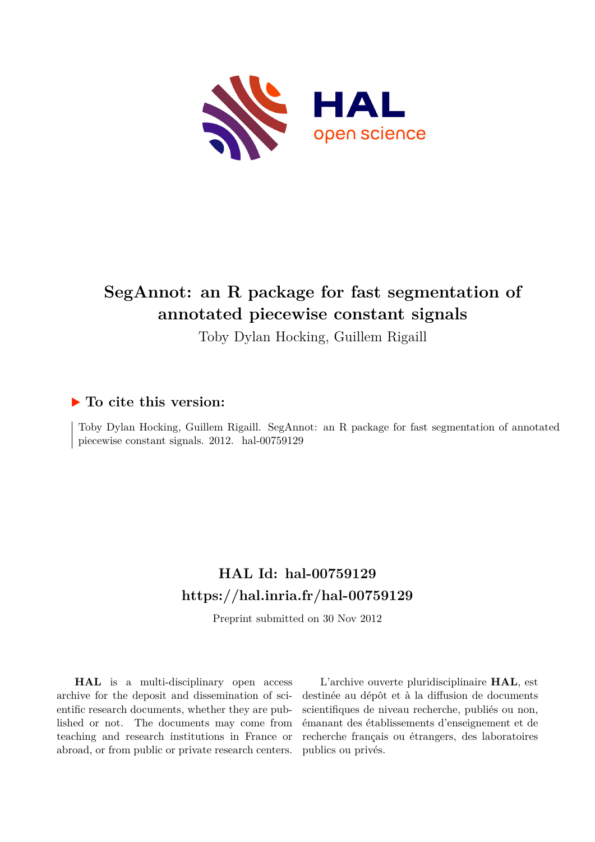

## **SegAnnot: an R package for fast segmentation of annotated piecewise constant signals**

Toby Dylan Hocking, Guillem Rigaill

### **To cite this version:**

Toby Dylan Hocking, Guillem Rigaill. SegAnnot: an R package for fast segmentation of annotated piecewise constant signals. 2012. hal-00759129

## **HAL Id: hal-00759129 <https://hal.inria.fr/hal-00759129>**

Preprint submitted on 30 Nov 2012

**HAL** is a multi-disciplinary open access archive for the deposit and dissemination of scientific research documents, whether they are published or not. The documents may come from teaching and research institutions in France or abroad, or from public or private research centers.

L'archive ouverte pluridisciplinaire **HAL**, est destinée au dépôt et à la diffusion de documents scientifiques de niveau recherche, publiés ou non, émanant des établissements d'enseignement et de recherche français ou étrangers, des laboratoires publics ou privés.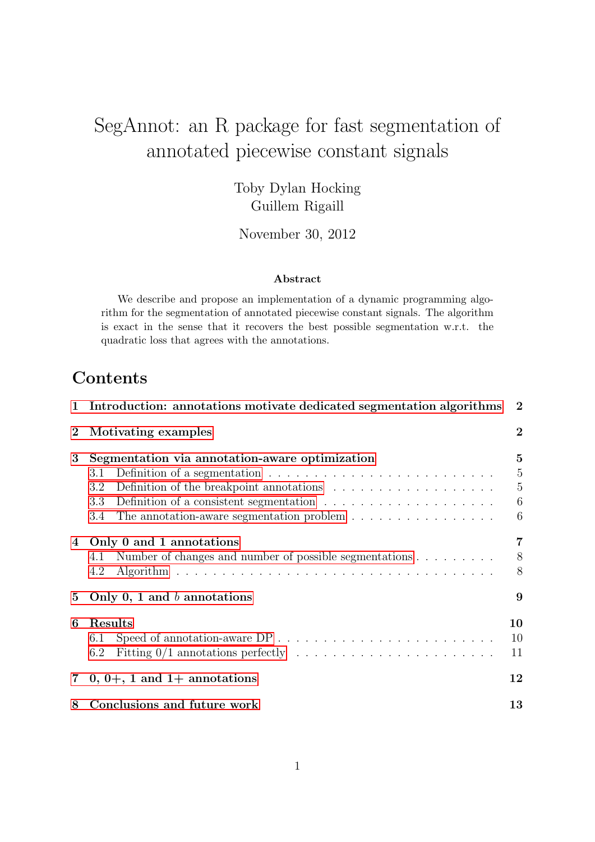# SegAnnot: an R package for fast segmentation of annotated piecewise constant signals

Toby Dylan Hocking Guillem Rigaill

November 30, 2012

#### Abstract

We describe and propose an implementation of a dynamic programming algorithm for the segmentation of annotated piecewise constant signals. The algorithm is exact in the sense that it recovers the best possible segmentation w.r.t. the quadratic loss that agrees with the annotations.

## **Contents**

|                 | 1 Introduction: annotations motivate dedicated segmentation algorithms<br>$\boldsymbol{2}$                                                             |                                  |  |  |
|-----------------|--------------------------------------------------------------------------------------------------------------------------------------------------------|----------------------------------|--|--|
| $\bf{2}$        | Motivating examples                                                                                                                                    |                                  |  |  |
| 3               | Segmentation via annotation-aware optimization<br>Definition of a segmentation $\ldots \ldots \ldots \ldots \ldots \ldots \ldots \ldots \ldots$<br>3.1 | $\overline{5}$<br>$\overline{5}$ |  |  |
|                 | 3.2                                                                                                                                                    | $\overline{5}$                   |  |  |
|                 | Definition of a consistent segmentation $\dots \dots \dots \dots \dots \dots \dots$<br>3.3                                                             | $\boldsymbol{6}$                 |  |  |
|                 | The annotation-aware segmentation problem $\dots \dots \dots \dots \dots \dots$<br>3.4                                                                 | 6                                |  |  |
| 4               | Only 0 and 1 annotations                                                                                                                               |                                  |  |  |
|                 | Number of changes and number of possible segmentations<br>4.1                                                                                          | 8                                |  |  |
|                 | 4.2                                                                                                                                                    | 8                                |  |  |
| $5\overline{)}$ | Only 0, 1 and $b$ annotations<br>9                                                                                                                     |                                  |  |  |
| 6               | Results                                                                                                                                                | 10                               |  |  |
|                 | 6.1                                                                                                                                                    | 10                               |  |  |
|                 | $6.2\,$                                                                                                                                                | 11                               |  |  |
|                 | 7 0, 0+, 1 and 1+ annotations                                                                                                                          |                                  |  |  |
| 8               | Conclusions and future work<br>13                                                                                                                      |                                  |  |  |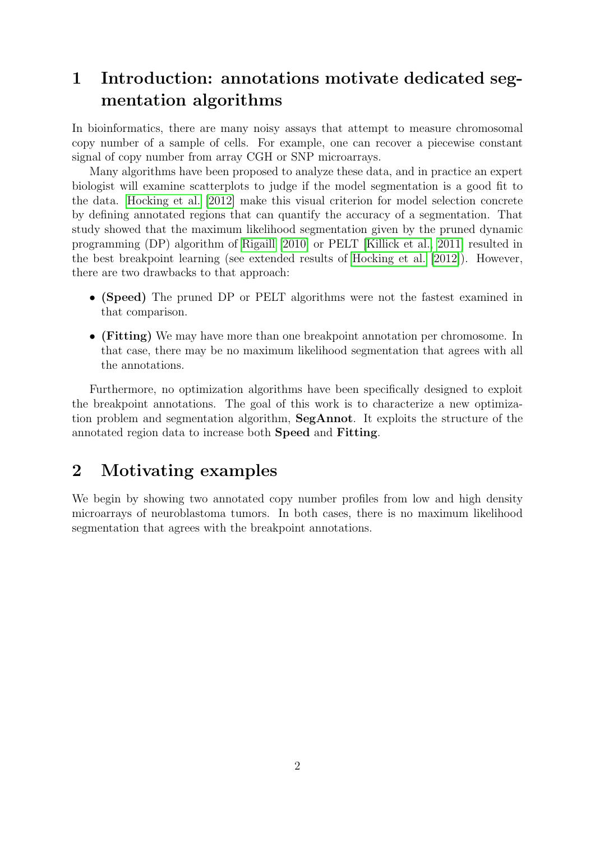## <span id="page-2-0"></span>1 Introduction: annotations motivate dedicated segmentation algorithms

In bioinformatics, there are many noisy assays that attempt to measure chromosomal copy number of a sample of cells. For example, one can recover a piecewise constant signal of copy number from array CGH or SNP microarrays.

Many algorithms have been proposed to analyze these data, and in practice an expert biologist will examine scatterplots to judge if the model segmentation is a good fit to the data. [Hocking et al. \[2012\]](#page-13-1) make this visual criterion for model selection concrete by defining annotated regions that can quantify the accuracy of a segmentation. That study showed that the maximum likelihood segmentation given by the pruned dynamic programming (DP) algorithm of [Rigaill \[2010\]](#page-13-2) or PELT [\[Killick et al., 2011\]](#page-13-3) resulted in the best breakpoint learning (see extended results of [Hocking et al. \[2012\]](#page-13-1)). However, there are two drawbacks to that approach:

- (Speed) The pruned DP or PELT algorithms were not the fastest examined in that comparison.
- (Fitting) We may have more than one breakpoint annotation per chromosome. In that case, there may be no maximum likelihood segmentation that agrees with all the annotations.

Furthermore, no optimization algorithms have been specifically designed to exploit the breakpoint annotations. The goal of this work is to characterize a new optimization problem and segmentation algorithm, SegAnnot. It exploits the structure of the annotated region data to increase both Speed and Fitting.

## <span id="page-2-1"></span>2 Motivating examples

We begin by showing two annotated copy number profiles from low and high density microarrays of neuroblastoma tumors. In both cases, there is no maximum likelihood segmentation that agrees with the breakpoint annotations.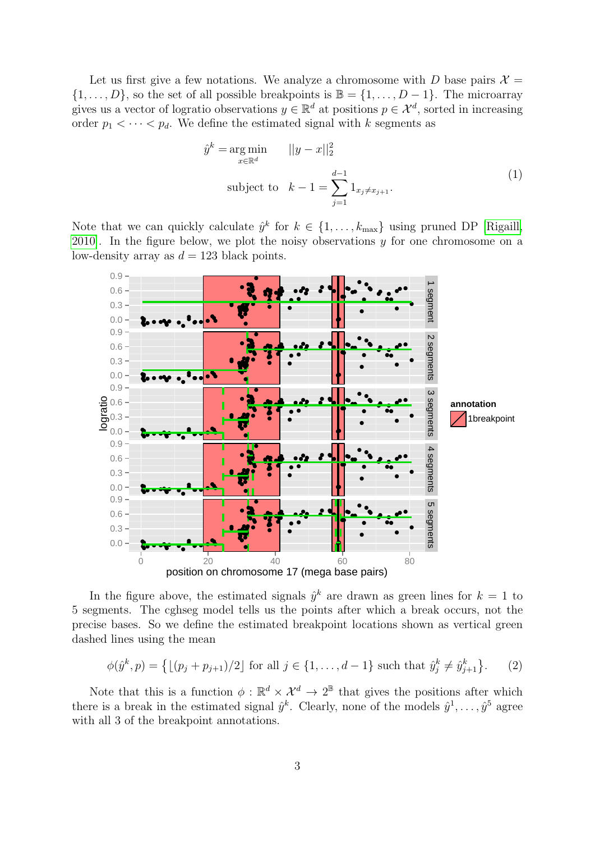Let us first give a few notations. We analyze a chromosome with D base pairs  $\mathcal{X} =$  $\{1, \ldots, D\}$ , so the set of all possible breakpoints is  $\mathbb{B} = \{1, \ldots, D-1\}$ . The microarray gives us a vector of logratio observations  $y \in \mathbb{R}^d$  at positions  $p \in \mathcal{X}^d$ , sorted in increasing order  $p_1 < \cdots < p_d$ . We define the estimated signal with k segments as

$$
\hat{y}^{k} = \underset{x \in \mathbb{R}^{d}}{\arg \min} \qquad ||y - x||_{2}^{2}
$$
\n
$$
\text{subject to} \quad k - 1 = \sum_{j=1}^{d-1} 1_{x_{j} \neq x_{j+1}}.
$$
\n(1)

Note that we can quickly calculate  $\hat{y}^k$  for  $k \in \{1, \ldots, k_{\text{max}}\}$  using pruned DP [\[Rigaill,](#page-13-2) [2010\]](#page-13-2). In the figure below, we plot the noisy observations  $y$  for one chromosome on a low-density array as  $d = 123$  black points.



In the figure above, the estimated signals  $\hat{y}^k$  are drawn as green lines for  $k = 1$  to 5 segments. The cghseg model tells us the points after which a break occurs, not the precise bases. So we define the estimated breakpoint locations shown as vertical green dashed lines using the mean

$$
\phi(\hat{y}^k, p) = \left\{ \lfloor (p_j + p_{j+1})/2 \rfloor \text{ for all } j \in \{1, \dots, d-1\} \text{ such that } \hat{y}_j^k \neq \hat{y}_{j+1}^k \right\}. \tag{2}
$$

Note that this is a function  $\phi : \mathbb{R}^d \times \mathcal{X}^d \to 2^{\mathbb{B}}$  that gives the positions after which there is a break in the estimated signal  $\hat{y}^k$ . Clearly, none of the models  $\hat{y}^1, \ldots, \hat{y}^5$  agree with all 3 of the breakpoint annotations.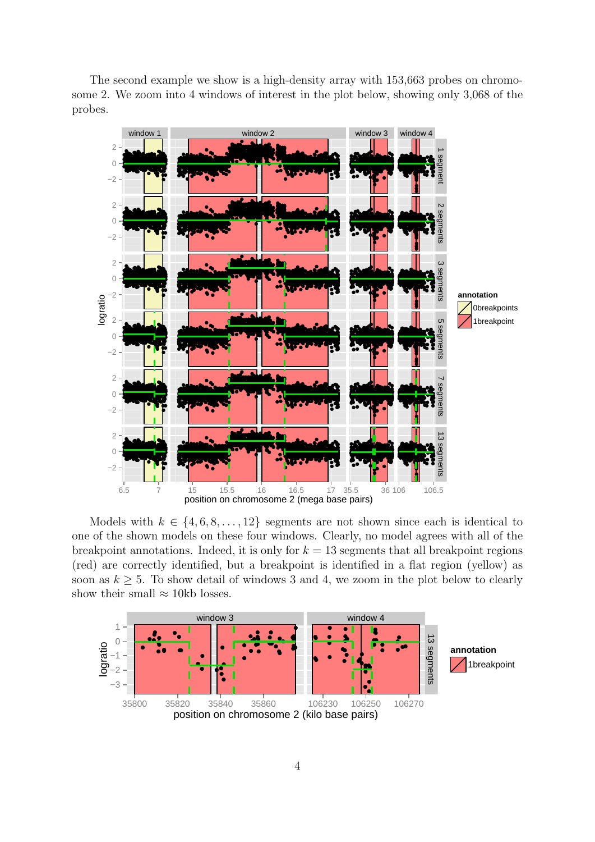The second example we show is a high-density array with 153,663 probes on chromosome 2. We zoom into 4 windows of interest in the plot below, showing only 3,068 of the probes.



Models with  $k \in \{4, 6, 8, ..., 12\}$  segments are not shown since each is identical to one of the shown models on these four windows. Clearly, no model agrees with all of the breakpoint annotations. Indeed, it is only for  $k = 13$  segments that all breakpoint regions (red) are correctly identified, but a breakpoint is identified in a flat region (yellow) as soon as  $k \geq 5$ . To show detail of windows 3 and 4, we zoom in the plot below to clearly show their small  $\approx$  10kb losses.

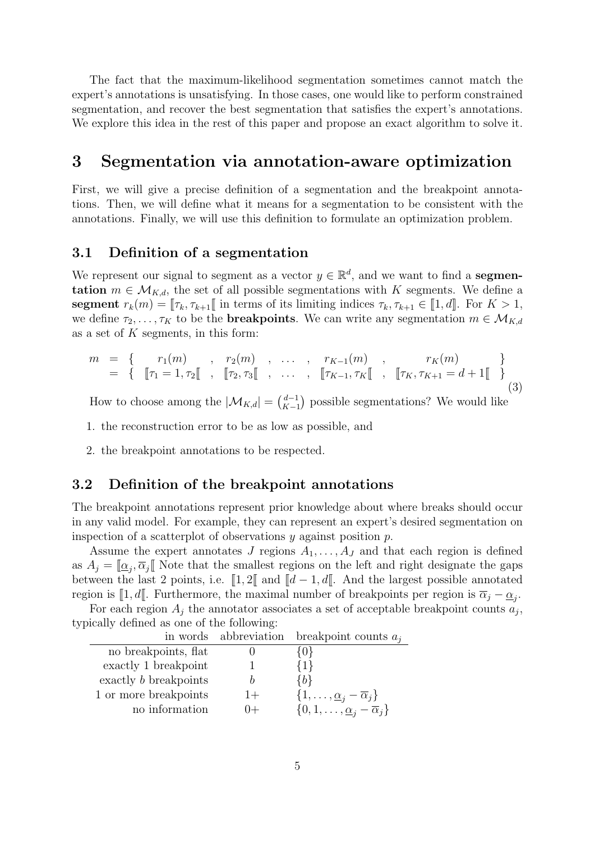The fact that the maximum-likelihood segmentation sometimes cannot match the expert's annotations is unsatisfying. In those cases, one would like to perform constrained segmentation, and recover the best segmentation that satisfies the expert's annotations. We explore this idea in the rest of this paper and propose an exact algorithm to solve it.

### <span id="page-5-0"></span>3 Segmentation via annotation-aware optimization

First, we will give a precise definition of a segmentation and the breakpoint annotations. Then, we will define what it means for a segmentation to be consistent with the annotations. Finally, we will use this definition to formulate an optimization problem.

#### <span id="page-5-1"></span>3.1 Definition of a segmentation

We represent our signal to segment as a vector  $y \in \mathbb{R}^d$ , and we want to find a **segmen**tation  $m \in \mathcal{M}_{K,d}$ , the set of all possible segmentations with K segments. We define a segment  $r_k(m) = \llbracket \tau_k, \tau_{k+1} \rrbracket$  in terms of its limiting indices  $\tau_k, \tau_{k+1} \in \llbracket 1, d \rrbracket$ . For  $K > 1$ , we define  $\tau_2, \ldots, \tau_K$  to be the **breakpoints**. We can write any segmentation  $m \in \mathcal{M}_{K,d}$ as a set of  $K$  segments, in this form:

$$
m = \{ r_1(m) , r_2(m) , \dots , r_{K-1}(m) , r_K(m) \}
$$
  
=  $\{ [\![\tau_1 = 1, \tau_2\!math> , \![\tau_2, \tau_3\mathbb{I} , \dots , \![\tau_{K-1}, \tau_K\mathbb{I} , \![\tau_K, \tau_{K+1} = d+1\mathbb{I} ] \}$  (3)

How to choose among the  $|\mathcal{M}_{K,d}| = \binom{d-1}{K-1}$  $\binom{d-1}{K-1}$  possible segmentations? We would like

1. the reconstruction error to be as low as possible, and

2. the breakpoint annotations to be respected.

#### <span id="page-5-2"></span>3.2 Definition of the breakpoint annotations

The breakpoint annotations represent prior knowledge about where breaks should occur in any valid model. For example, they can represent an expert's desired segmentation on inspection of a scatterplot of observations  $y$  against position  $p$ .

Assume the expert annotates J regions  $A_1, \ldots, A_J$  and that each region is defined as  $A_j = \llbracket \underline{\alpha}_j, \overline{\alpha}_j \rrbracket$  Note that the smallest regions on the left and right designate the gaps between the last 2 points, i.e.  $\llbracket 1, 2 \rrbracket$  and  $\llbracket d-1, d \rrbracket$ . And the largest possible annotated region is  $\llbracket 1, d \llbracket$ . Furthermore, the maximal number of breakpoints per region is  $\overline{\alpha}_j - \underline{\alpha}_j$ .

For each region  $A_j$  the annotator associates a set of acceptable breakpoint counts  $a_j$ , typically defined as one of the following:

|                       |       | in words abbreviation breakpoint counts $a_i$                  |
|-----------------------|-------|----------------------------------------------------------------|
| no breakpoints, flat  |       |                                                                |
| exactly 1 breakpoint  |       | '1}                                                            |
| exactly b breakpoints |       | {b}                                                            |
| 1 or more breakpoints | $1+$  | $\{1,\ldots,\underline{\alpha}_j-\overline{\alpha}_j\}$        |
| no information        | $(1+$ | $\{0, 1, \ldots, \underline{\alpha}_i - \overline{\alpha}_j\}$ |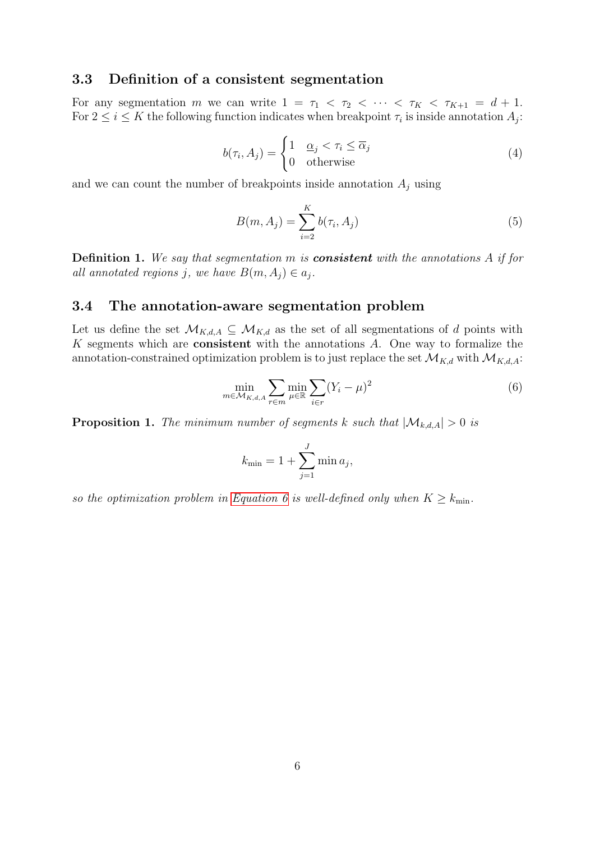#### <span id="page-6-0"></span>3.3 Definition of a consistent segmentation

<span id="page-6-3"></span>For any segmentation m we can write  $1 = \tau_1 < \tau_2 < \cdots < \tau_K < \tau_{K+1} = d+1$ . For  $2 \leq i \leq K$  the following function indicates when breakpoint  $\tau_i$  is inside annotation  $A_j$ :

$$
b(\tau_i, A_j) = \begin{cases} 1 & \underline{\alpha}_j < \tau_i \le \overline{\alpha}_j \\ 0 & \text{otherwise} \end{cases}
$$
 (4)

and we can count the number of breakpoints inside annotation  $A_i$  using

$$
B(m, A_j) = \sum_{i=2}^{K} b(\tau_i, A_j)
$$
\n(5)

**Definition 1.** We say that segmentation m is **consistent** with the annotations A if for all annotated regions j, we have  $B(m, A_j) \in a_j$ .

#### <span id="page-6-1"></span>3.4 The annotation-aware segmentation problem

<span id="page-6-2"></span>Let us define the set  $\mathcal{M}_{K,d,A} \subseteq \mathcal{M}_{K,d}$  as the set of all segmentations of d points with  $K$  segments which are **consistent** with the annotations  $A$ . One way to formalize the annotation-constrained optimization problem is to just replace the set  $\mathcal{M}_{K,d}$  with  $\mathcal{M}_{K,d,A}$ :

$$
\min_{m \in \mathcal{M}_{K,d,A}} \sum_{r \in m} \min_{\mu \in \mathbb{R}} \sum_{i \in r} (Y_i - \mu)^2
$$
\n(6)

**Proposition 1.** The minimum number of segments k such that  $|\mathcal{M}_{k,d,A}| > 0$  is

$$
k_{\min} = 1 + \sum_{j=1}^{J} \min a_j,
$$

so the optimization problem in [Equation 6](#page-6-2) is well-defined only when  $K \geq k_{\min}$ .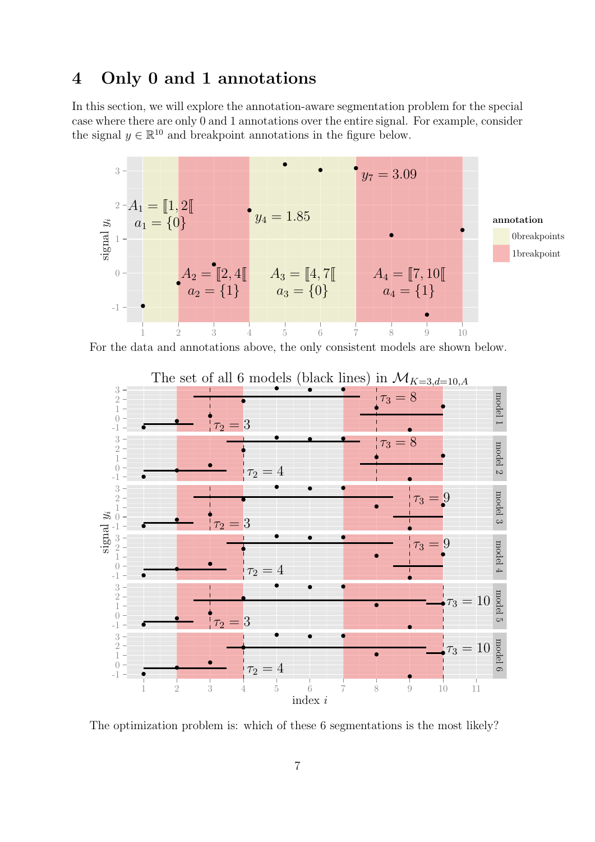## <span id="page-7-0"></span>4 Only 0 and 1 annotations

In this section, we will explore the annotation-aware segmentation problem for the special case where there are only 0 and 1 annotations over the entire signal. For example, consider the signal  $y \in \mathbb{R}^{10}$  and breakpoint annotations in the figure below.



For the data and annotations above, the only consistent models are shown below.



The optimization problem is: which of these 6 segmentations is the most likely?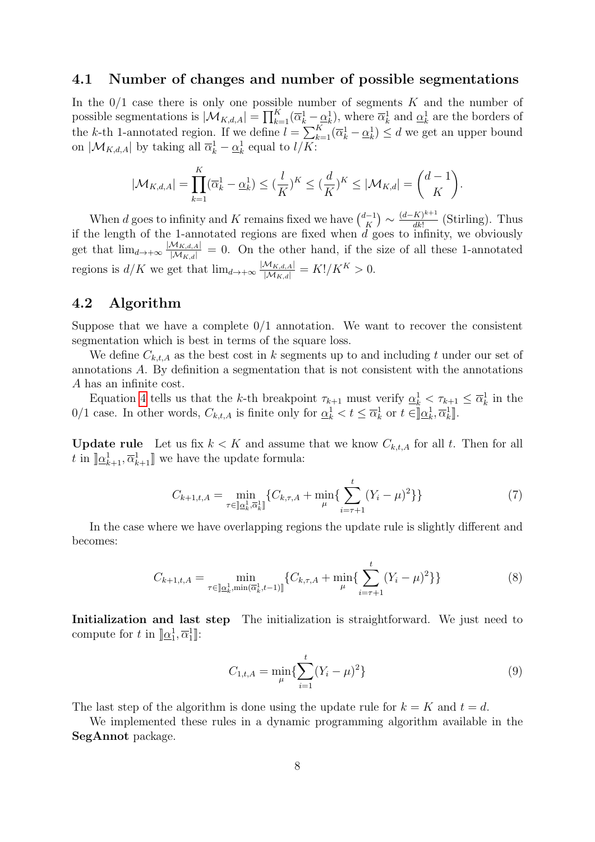#### <span id="page-8-0"></span>4.1 Number of changes and number of possible segmentations

In the  $0/1$  case there is only one possible number of segments K and the number of possible segmentations is  $|\mathcal{M}_{K,d,A}| = \prod_{k=1}^K (\overline{\alpha}_k^1 - \underline{\alpha}_k^1)$ , where  $\overline{\alpha}_k^1$  and  $\underline{\alpha}_k^1$  are the borders of the k-th 1-annotated region. If we define  $l = \sum_{k=1}^{K} (\overline{\alpha}_k^1 - \underline{\alpha}_k^1) \leq d$  we get an upper bound on  $|\mathcal{M}_{K,d,A}|$  by taking all  $\overline{\alpha}_k^1 - \underline{\alpha}_k^1$  equal to  $l/K$ :

$$
|\mathcal{M}_{K,d,A}| = \prod_{k=1}^K (\overline{\alpha}_k^1 - \underline{\alpha}_k^1) \leq (\frac{l}{K})^K \leq (\frac{d}{K})^K \leq |\mathcal{M}_{K,d}| = \binom{d-1}{K}.
$$

When d goes to infinity and K remains fixed we have  $\binom{d-1}{K}$  $\binom{k-1}{K} \sim \frac{(d-K)^{k+1}}{dk!}$  $\frac{d}{dk!}$  (Stirling). Thus if the length of the 1-annotated regions are fixed when  $d$  goes to infinity, we obviously get that  $\lim_{d\to+\infty}\frac{|M_{K,d,A}|}{|M_{K,d}|}=0$ . On the other hand, if the size of all these 1-annotated regions is  $d/K$  we get that  $\lim_{d\to+\infty}\frac{|\mathcal{M}_{K,d,A}|}{|\mathcal{M}_{K,d}|}=K!/K^{K}>0.$ 

### <span id="page-8-1"></span>4.2 Algorithm

Suppose that we have a complete  $0/1$  annotation. We want to recover the consistent segmentation which is best in terms of the square loss.

We define  $C_{k,t,A}$  as the best cost in k segments up to and including t under our set of annotations A. By definition a segmentation that is not consistent with the annotations A has an infinite cost.

Equation [4](#page-6-3) tells us that the k-th breakpoint  $\tau_{k+1}$  must verify  $\underline{\alpha}_k^1 < \tau_{k+1} \leq \overline{\alpha}_k^1$  in the  $0/1$  case. In other words,  $C_{k,t,A}$  is finite only for  $\underline{\alpha}_k^1 < t \leq \overline{\alpha}_k^1$  or  $t \in ]\underline{\alpha}_k^1, \overline{\alpha}_k^1]$ .

**Update rule** Let us fix  $k < K$  and assume that we know  $C_{k,t,A}$  for all t. Then for all t in  $\left[ \underline{\alpha}_{k+1}^1, \overline{\alpha}_{k+1}^1 \right]$  we have the update formula:

$$
C_{k+1,t,A} = \min_{\tau \in \left] \mathcal{Q}_k^1, \overline{\mathcal{Q}}_k^1 \right]} \{ C_{k,\tau,A} + \min_{\mu} \{ \sum_{i=\tau+1}^t (Y_i - \mu)^2 \} \} \tag{7}
$$

In the case where we have overlapping regions the update rule is slightly different and becomes:

$$
C_{k+1,t,A} = \min_{\tau \in \mathbb{R}^1, \min(\overline{\alpha}_k^1, t-1)\mathbb{I}} \{ C_{k,\tau,A} + \min_{\mu} \{ \sum_{i=\tau+1}^t (Y_i - \mu)^2 \} \} \tag{8}
$$

Initialization and last step The initialization is straightforward. We just need to compute for t in  $[\underline{\alpha}_1^1, \overline{\alpha}_1^1]$ :

$$
C_{1,t,A} = \min_{\mu} \{ \sum_{i=1}^{t} (Y_i - \mu)^2 \}
$$
\n(9)

The last step of the algorithm is done using the update rule for  $k = K$  and  $t = d$ .

We implemented these rules in a dynamic programming algorithm available in the SegAnnot package.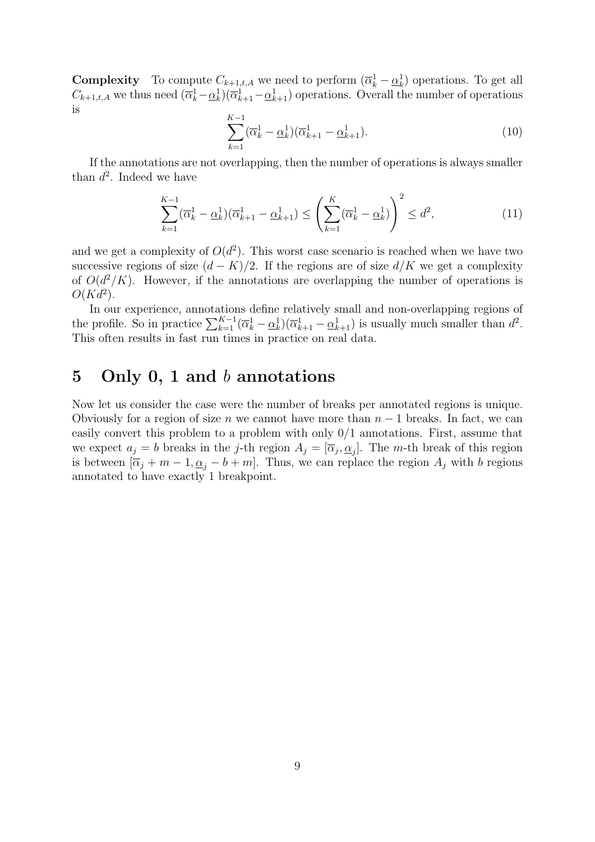**Complexity** To compute  $C_{k+1,t,A}$  we need to perform  $(\overline{\alpha}_k^1 - \underline{\alpha}_k^1)$  operations. To get all  $C_{k+1,t,A}$  we thus need  $(\overline{\alpha}_k^1-\underline{\alpha}_k^1)(\overline{\alpha}_{k+1}^1-\underline{\alpha}_{k+1}^1)$  operations. Overall the number of operations is

$$
\sum_{k=1}^{K-1} (\overline{\alpha}_k^1 - \underline{\alpha}_k^1)(\overline{\alpha}_{k+1}^1 - \underline{\alpha}_{k+1}^1).
$$
 (10)

If the annotations are not overlapping, then the number of operations is always smaller than  $d^2$ . Indeed we have

$$
\sum_{k=1}^{K-1} (\overline{\alpha}_k^1 - \underline{\alpha}_k^1)(\overline{\alpha}_{k+1}^1 - \underline{\alpha}_{k+1}^1) \le \left(\sum_{k=1}^{K} (\overline{\alpha}_k^1 - \underline{\alpha}_k^1)\right)^2 \le d^2,
$$
\n(11)

and we get a complexity of  $O(d^2)$ . This worst case scenario is reached when we have two successive regions of size  $(d - K)/2$ . If the regions are of size  $d/K$  we get a complexity of  $O(d^2/K)$ . However, if the annotations are overlapping the number of operations is  $O(Kd^2)$ .

In our experience, annotations define relatively small and non-overlapping regions of the profile. So in practice  $\sum_{k=1}^{K-1} (\overline{\alpha}_k^1 - \underline{\alpha}_k^1)(\overline{\alpha}_{k+1}^1 - \underline{\alpha}_{k+1}^1)$  is usually much smaller than  $d^2$ . This often results in fast run times in practice on real data.

### <span id="page-9-0"></span>5 Only 0, 1 and  $b$  annotations

Now let us consider the case were the number of breaks per annotated regions is unique. Obviously for a region of size n we cannot have more than  $n-1$  breaks. In fact, we can easily convert this problem to a problem with only 0/1 annotations. First, assume that we expect  $a_j = b$  breaks in the j-th region  $A_j = [\overline{\alpha}_j, \underline{\alpha}_j]$ . The m-th break of this region is between  $[\overline{\alpha}_j + m - 1, \underline{\alpha}_j - b + m]$ . Thus, we can replace the region  $A_j$  with b regions annotated to have exactly 1 breakpoint.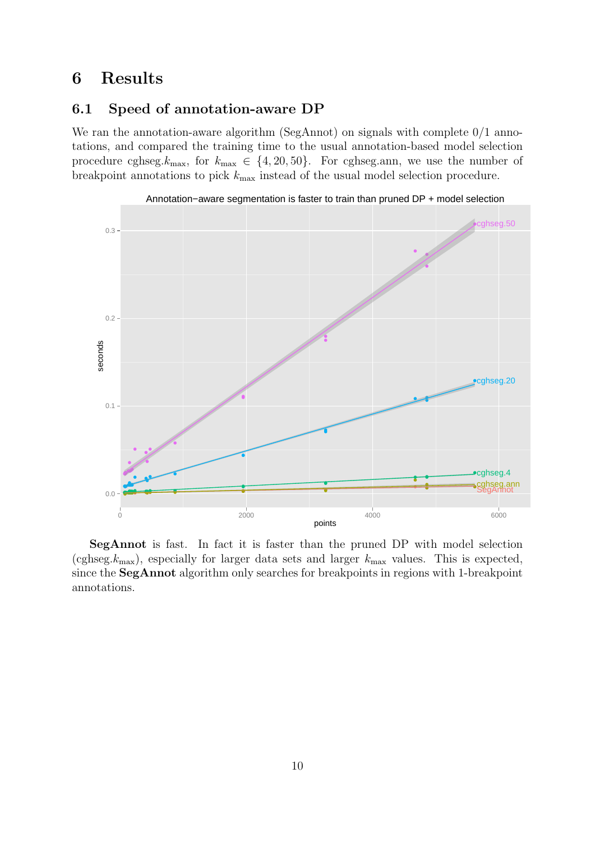## <span id="page-10-0"></span>6 Results

### <span id="page-10-1"></span>6.1 Speed of annotation-aware DP

We ran the annotation-aware algorithm (SegAnnot) on signals with complete  $0/1$  annotations, and compared the training time to the usual annotation-based model selection procedure cghseg. $k_{\text{max}}$ , for  $k_{\text{max}} \in \{4, 20, 50\}$ . For cghseg.ann, we use the number of breakpoint annotations to pick  $k_{\text{max}}$  instead of the usual model selection procedure.



SegAnnot is fast. In fact it is faster than the pruned DP with model selection (cghseg. $k_{\text{max}}$ ), especially for larger data sets and larger  $k_{\text{max}}$  values. This is expected, since the SegAnnot algorithm only searches for breakpoints in regions with 1-breakpoint annotations.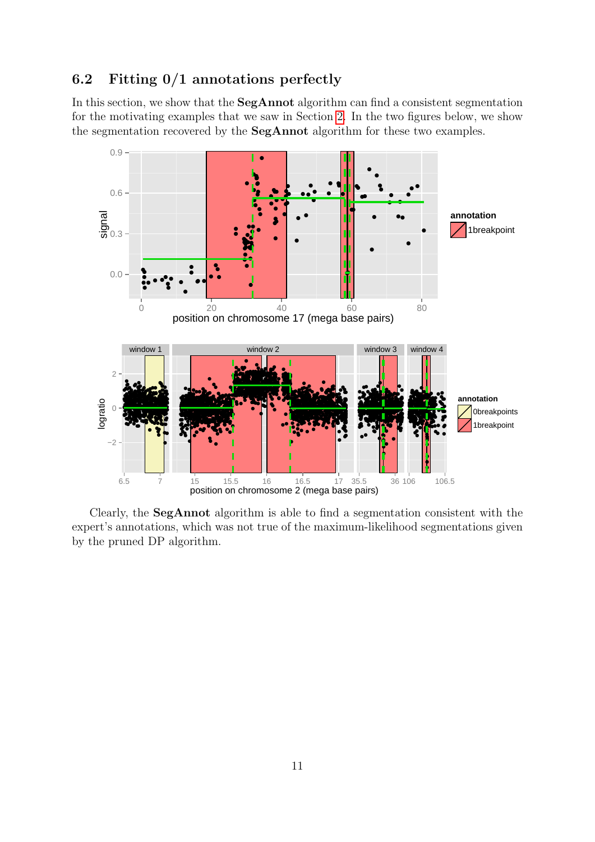#### <span id="page-11-0"></span> $6.2$ Fitting  $0/1$  annotations perfectly

In this section, we show that the SegAnnot algorithm can find a consistent segmentation for the motivating examples that we saw in Section 2. In the two figures below, we show the segmentation recovered by the SegAnnot algorithm for these two examples.



Clearly, the SegAnnot algorithm is able to find a segmentation consistent with the expert's annotations, which was not true of the maximum-likelihood segmentations given by the pruned DP algorithm.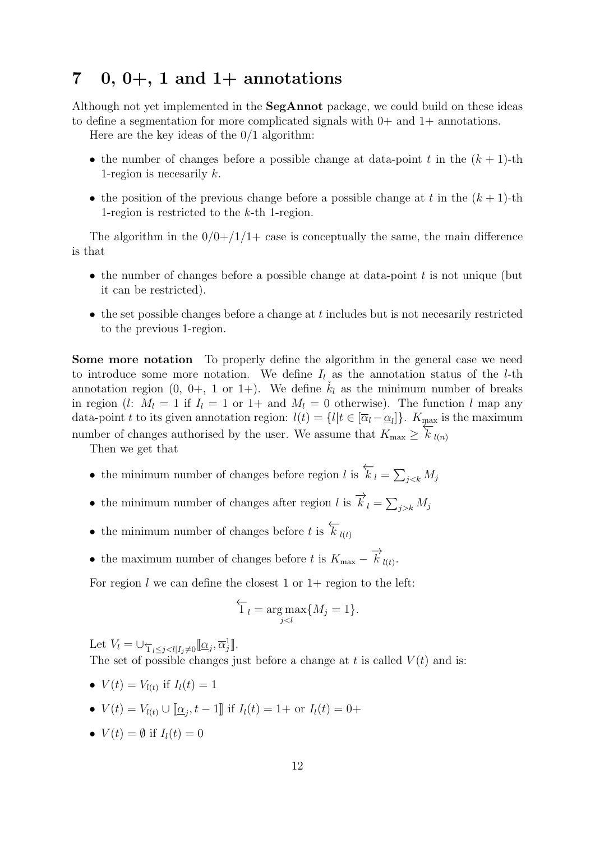## <span id="page-12-0"></span>7 0, 0+, 1 and 1+ annotations

Although not yet implemented in the SegAnnot package, we could build on these ideas to define a segmentation for more complicated signals with  $0+$  and  $1+$  annotations.

Here are the key ideas of the  $0/1$  algorithm:

- the number of changes before a possible change at data-point t in the  $(k + 1)$ -th 1-region is necessarily  $k$ .
- the position of the previous change before a possible change at t in the  $(k + 1)$ -th 1-region is restricted to the k-th 1-region.

The algorithm in the  $0/0+/1/1+$  case is conceptually the same, the main difference is that

- the number of changes before a possible change at data-point  $t$  is not unique (but it can be restricted).
- $\bullet$  the set possible changes before a change at t includes but is not necesarily restricted to the previous 1-region.

Some more notation To properly define the algorithm in the general case we need to introduce some more notation. We define  $I_l$  as the annotation status of the *l*-th annotation region  $(0, 0+, 1 \text{ or } 1+)$ . We define  $k_l$  as the minimum number of breaks in region (l:  $M_l = 1$  if  $I_l = 1$  or 1+ and  $M_l = 0$  otherwise). The function l map any data-point t to its given annotation region:  $l(t) = \{l | t \in [\overline{\alpha}_l - \underline{\alpha}_l]\}\$ .  $K_{\text{max}}$  is the maximum number of changes authorised by the user. We assume that  $K_{\text{max}} \geq$  $\overline{\overline{}}_7$  $k_{l(n)}$ 

Then we get that

- the minimum number of changes before region  $l$  is ←−  $k_l = \sum_{j < k} M_j$
- the minimum number of changes after region l is  $\overrightarrow{k}_l = \sum_{j>k} M_j$
- the minimum number of changes before  $t$  is ←−  $k_{l(t)}$
- the maximum number of changes before t is  $K_{\text{max}} \overrightarrow{k}_{l(t)}$ .

For region  $l$  we can define the closest 1 or  $1+$  region to the left:

$$
\overleftarrow{1}_l = \underset{j < l}{\arg \max} \{ M_j = 1 \}.
$$

Let  $V_l = \bigcup_{\tau_l \leq j < l \mid I_j \neq 0} \llbracket \underline{\alpha}_j, \overline{\alpha}_j^1 \rrbracket$ . The set of possible changes just before a change at t is called  $V(t)$  and is:

- $V(t) = V_{l(t)}$  if  $I_l(t) = 1$
- $V(t) = V_{l(t)} \cup [\underline{\alpha}_j, t-1]$  if  $I_l(t) = 1 +$  or  $I_l(t) = 0+$
- $V(t) = \emptyset$  if  $I_l(t) = 0$